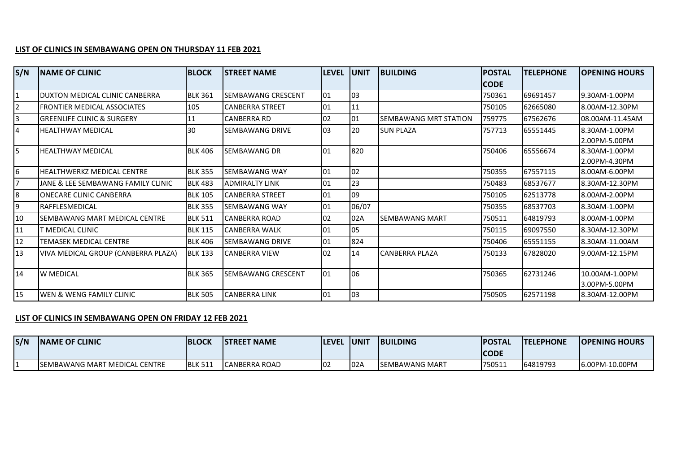## **LIST OF CLINICS IN SEMBAWANG OPEN ON THURSDAY 11 FEB 2021**

| S/N | <b>INAME OF CLINIC</b>                | <b>BLOCK</b>   | <b>STREET NAME</b>     | <b>LEVEL</b> | <b>UNIT</b> | <b>BUILDING</b>              | <b>IPOSTAL</b> | <b>TELEPHONE</b> | <b>OPENING HOURS</b>            |
|-----|---------------------------------------|----------------|------------------------|--------------|-------------|------------------------------|----------------|------------------|---------------------------------|
|     |                                       |                |                        |              |             |                              | <b>CODE</b>    |                  |                                 |
|     | DUXTON MEDICAL CLINIC CANBERRA        | <b>BLK 361</b> | SEMBAWANG CRESCENT     | 01           | 03          |                              | 750361         | 69691457         | 9.30AM-1.00PM                   |
|     | <b>FRONTIER MEDICAL ASSOCIATES</b>    | 105            | <b>CANBERRA STREET</b> | 01           | 11          |                              | 750105         | 62665080         | 8.00AM-12.30PM                  |
| I3  | <b>GREENLIFE CLINIC &amp; SURGERY</b> | 11             | <b>CANBERRA RD</b>     | 102          | 01          | <b>SEMBAWANG MRT STATION</b> | 759775         | 67562676         | 08.00AM-11.45AM                 |
| 14  | <b>HEALTHWAY MEDICAL</b>              | 30             | SEMBAWANG DRIVE        | $ 03\rangle$ | 20          | <b>SUN PLAZA</b>             | 757713         | 65551445         | 8.30AM-1.00PM<br>2.00PM-5.00PM  |
| I5  | HEALTHWAY MEDICAL                     | <b>BLK 406</b> | SEMBAWANG DR           | 101          | 820         |                              | 750406         | 65556674         | 8.30AM-1.00PM<br>2.00PM-4.30PM  |
| 16  | HEALTHWERKZ MEDICAL CENTRE            | <b>BLK 355</b> | SEMBAWANG WAY          | 01           | 02          |                              | 750355         | 67557115         | 8.00AM-6.00PM                   |
|     | JANE & LEE SEMBAWANG FAMILY CLINIC    | <b>BLK 483</b> | <b>ADMIRALTY LINK</b>  | 01           | 23          |                              | 750483         | 68537677         | 8.30AM-12.30PM                  |
| l8  | ONECARE CLINIC CANBERRA               | <b>BLK 105</b> | <b>CANBERRA STREET</b> | 01           | 09          |                              | 750105         | 62513778         | 8.00AM-2.00PM                   |
| 19  | <b>RAFFLESMEDICAL</b>                 | <b>BLK 355</b> | <b>SEMBAWANG WAY</b>   | 101          | 06/07       |                              | 750355         | 68537703         | 8.30AM-1.00PM                   |
| 10  | SEMBAWANG MART MEDICAL CENTRE         | <b>BLK 511</b> | <b>CANBERRA ROAD</b>   | 02           | 02A         | <b>SEMBAWANG MART</b>        | 750511         | 64819793         | 8.00AM-1.00PM                   |
| 11  | T MEDICAL CLINIC                      | <b>BLK 115</b> | <b>CANBERRA WALK</b>   | 01           | 05          |                              | 750115         | 69097550         | 8.30AM-12.30PM                  |
| 12  | TEMASEK MEDICAL CENTRE                | <b>BLK 406</b> | <b>SEMBAWANG DRIVE</b> | 01           | 824         |                              | 750406         | 65551155         | 8.30AM-11.00AM                  |
| 13  | VIVA MEDICAL GROUP (CANBERRA PLAZA)   | <b>BLK 133</b> | <b>CANBERRA VIEW</b>   | 102          | 14          | <b>CANBERRA PLAZA</b>        | 750133         | 67828020         | 9.00AM-12.15PM                  |
| 14  | W MEDICAL                             | <b>BLK 365</b> | SEMBAWANG CRESCENT     | $ 01\rangle$ | 06          |                              | 750365         | 62731246         | 10.00AM-1.00PM<br>3.00PM-5.00PM |
| 15  | WEN & WENG FAMILY CLINIC              | <b>BLK 505</b> | <b>CANBERRA LINK</b>   | 01           | 03          |                              | 750505         | 62571198         | 8.30AM-12.00PM                  |

## **LIST OF CLINICS IN SEMBAWANG OPEN ON FRIDAY 12 FEB 2021**

| S/N | <b>INAME OF CLINIC</b>                | <b>BLOCK</b>   | <b>ISTREET NAME</b> | <b>ILEVEL IUNIT</b> |      | <b>IBUILDING</b>       | <b>IPOSTAL</b><br><b>CODE</b> | <b>ITELEPHONE</b> | <b>IOPENING HOURS</b> |
|-----|---------------------------------------|----------------|---------------------|---------------------|------|------------------------|-------------------------------|-------------------|-----------------------|
|     | <b>ISEMBAWANG MART MEDICAL CENTRE</b> | <b>BLK 511</b> | CANBERRA ROAD       | ے∪י                 | 102A | <b>ISEMBAWANG MART</b> | 1750511                       | 64819793          | 16.00PM-10.00PM       |